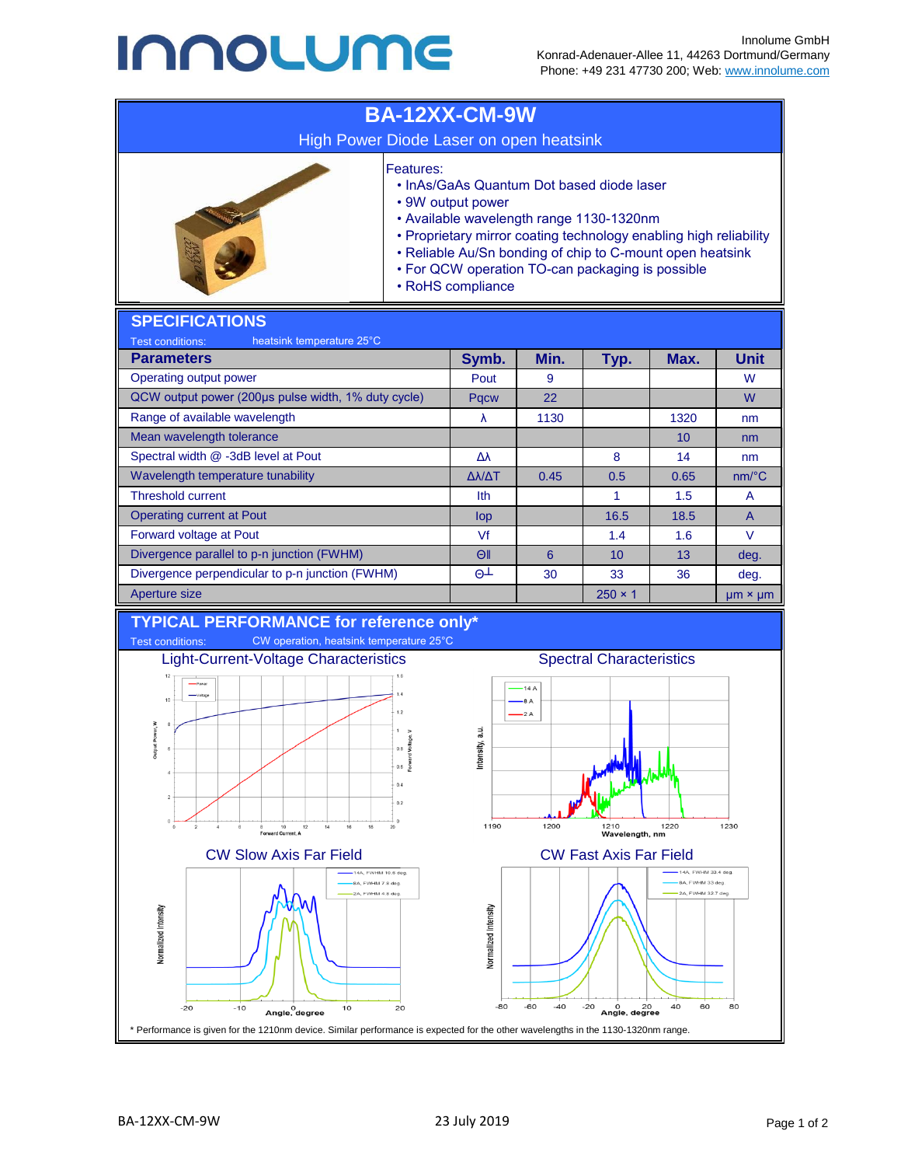## **INNOLUME**



BA-12XX-CM-9W 23 July 2019 Page 1 of 2